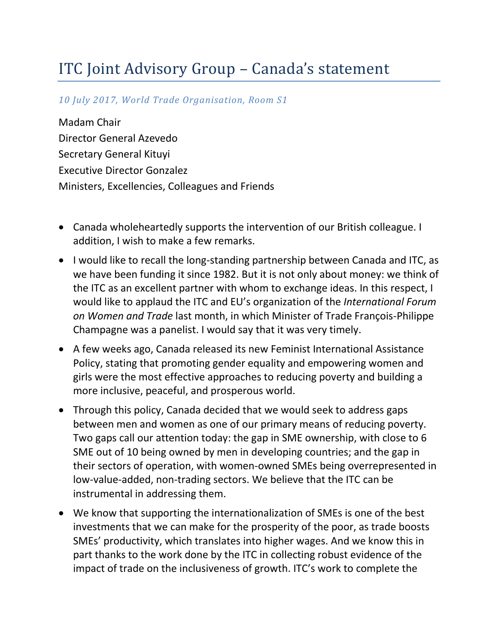## ITC Joint Advisory Group – Canada's statement

## *10 July 2017, World Trade Organisation, Room S1*

Madam Chair Director General Azevedo Secretary General Kituyi Executive Director Gonzalez Ministers, Excellencies, Colleagues and Friends

- Canada wholeheartedly supports the intervention of our British colleague. I addition, I wish to make a few remarks.
- I would like to recall the long-standing partnership between Canada and ITC, as we have been funding it since 1982. But it is not only about money: we think of the ITC as an excellent partner with whom to exchange ideas. In this respect, I would like to applaud the ITC and EU's organization of the *International Forum on Women and Trade* last month, in which Minister of Trade François-Philippe Champagne was a panelist. I would say that it was very timely.
- A few weeks ago, Canada released its new Feminist International Assistance Policy, stating that promoting gender equality and empowering women and girls were the most effective approaches to reducing poverty and building a more inclusive, peaceful, and prosperous world.
- Through this policy, Canada decided that we would seek to address gaps between men and women as one of our primary means of reducing poverty. Two gaps call our attention today: the gap in SME ownership, with close to 6 SME out of 10 being owned by men in developing countries; and the gap in their sectors of operation, with women-owned SMEs being overrepresented in low-value-added, non-trading sectors. We believe that the ITC can be instrumental in addressing them.
- We know that supporting the internationalization of SMEs is one of the best investments that we can make for the prosperity of the poor, as trade boosts SMEs' productivity, which translates into higher wages. And we know this in part thanks to the work done by the ITC in collecting robust evidence of the impact of trade on the inclusiveness of growth. ITC's work to complete the